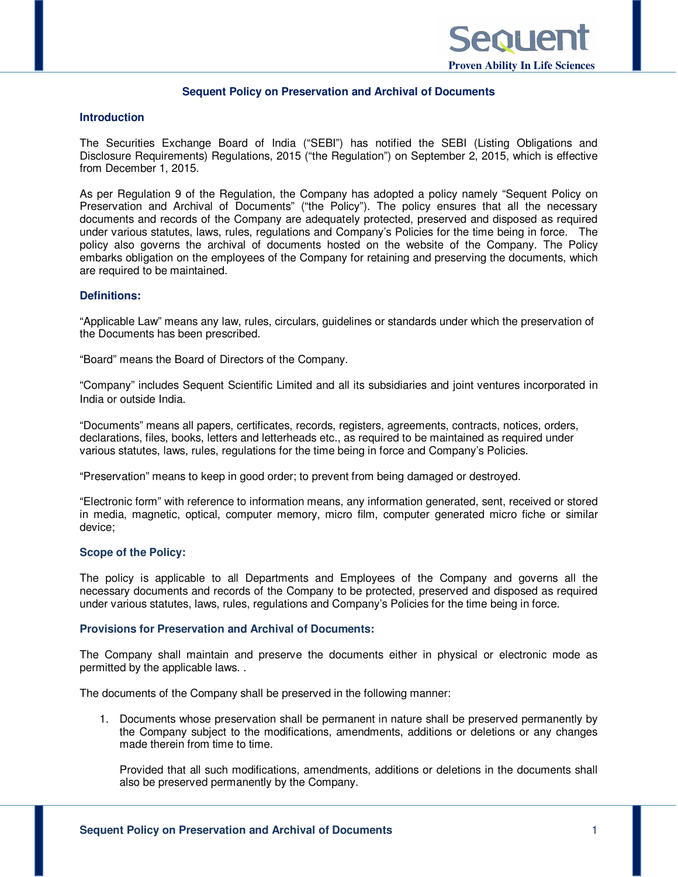

### **Sequent Policy on Preservation and Archival of Documents**

#### **Introduction**

The Securities Exchange Board of India ("SEBI") has notified the SEBI (Listing Obligations and Disclosure Requirements) Regulations, 2015 ("the Regulation") on September 2, 2015, which is effective from December 1, 2015.

As per Regulation 9 of the Regulation, the Company has adopted a policy namely "Sequent Policy on Preservation and Archival of Documents" ("the Policy"). The policy ensures that all the necessary documents and records of the Company are adequately protected, preserved and disposed as required under various statutes, laws, rules, regulations and Company's Policies for the time being in force. The policy also governs the archival of documents hosted on the website of the Company. The Policy embarks obligation on the employees of the Company for retaining and preserving the documents, which are required to be maintained.

### **Definitions:**

"Applicable Law" means any law, rules, circulars, guidelines or standards under which the preservation of the Documents has been prescribed.

"Board" means the Board of Directors of the Company.

"Company" includes Sequent Scientific Limited and all its subsidiaries and joint ventures incorporated in India or outside India.

"Documents" means all papers, certificates, records, registers, agreements, contracts, notices, orders, declarations, files, books, letters and letterheads etc., as required to be maintained as required under various statutes, laws, rules, regulations for the time being in force and Company's Policies.

"Preservation" means to keep in good order; to prevent from being damaged or destroyed.

"Electronic form" with reference to information means, any information generated, sent, received or stored in media, magnetic, optical, computer memory, micro film, computer generated micro fiche or similar device;

### **Scope of the Policy:**

The policy is applicable to all Departments and Employees of the Company and governs all the necessary documents and records of the Company to be protected, preserved and disposed as required under various statutes, laws, rules, regulations and Company's Policies for the time being in force.

#### **Provisions for Preservation and Archival of Documents:**

The Company shall maintain and preserve the documents either in physical or electronic mode as permitted by the applicable laws. .

The documents of the Company shall be preserved in the following manner:

1. Documents whose preservation shall be permanent in nature shall be preserved permanently by the Company subject to the modifications, amendments, additions or deletions or any changes made therein from time to time.

Provided that all such modifications, amendments, additions or deletions in the documents shall also be preserved permanently by the Company.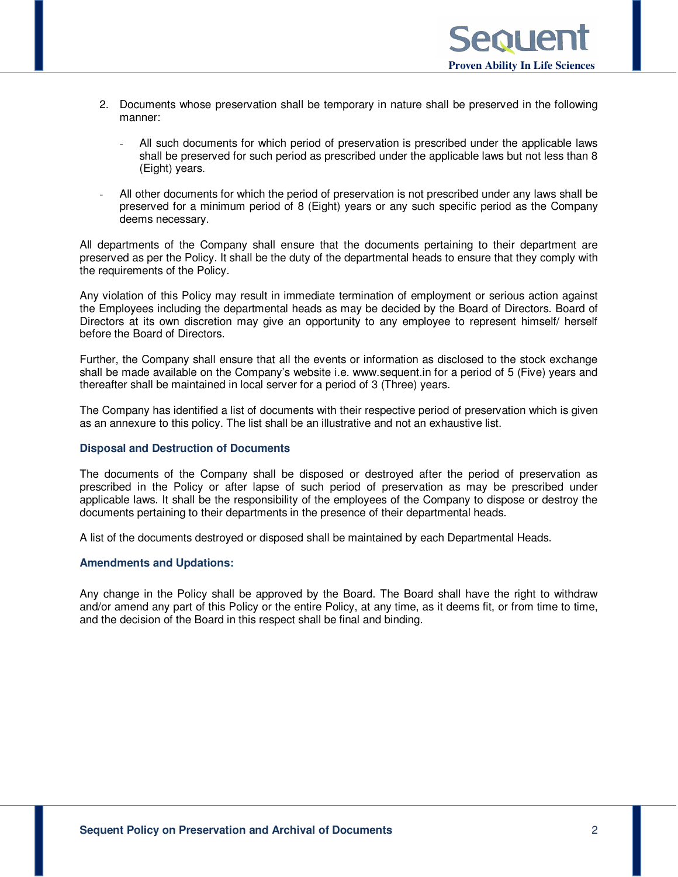- 2. Documents whose preservation shall be temporary in nature shall be preserved in the following manner:
	- All such documents for which period of preservation is prescribed under the applicable laws shall be preserved for such period as prescribed under the applicable laws but not less than 8 (Eight) years.
- All other documents for which the period of preservation is not prescribed under any laws shall be preserved for a minimum period of 8 (Eight) years or any such specific period as the Company deems necessary.

All departments of the Company shall ensure that the documents pertaining to their department are preserved as per the Policy. It shall be the duty of the departmental heads to ensure that they comply with the requirements of the Policy.

Any violation of this Policy may result in immediate termination of employment or serious action against the Employees including the departmental heads as may be decided by the Board of Directors. Board of Directors at its own discretion may give an opportunity to any employee to represent himself/ herself before the Board of Directors.

Further, the Company shall ensure that all the events or information as disclosed to the stock exchange shall be made available on the Company's website i.e. www.sequent.in for a period of 5 (Five) years and thereafter shall be maintained in local server for a period of 3 (Three) years.

The Company has identified a list of documents with their respective period of preservation which is given as an annexure to this policy. The list shall be an illustrative and not an exhaustive list.

### **Disposal and Destruction of Documents**

The documents of the Company shall be disposed or destroyed after the period of preservation as prescribed in the Policy or after lapse of such period of preservation as may be prescribed under applicable laws. It shall be the responsibility of the employees of the Company to dispose or destroy the documents pertaining to their departments in the presence of their departmental heads.

A list of the documents destroyed or disposed shall be maintained by each Departmental Heads.

### **Amendments and Updations:**

Any change in the Policy shall be approved by the Board. The Board shall have the right to withdraw and/or amend any part of this Policy or the entire Policy, at any time, as it deems fit, or from time to time, and the decision of the Board in this respect shall be final and binding.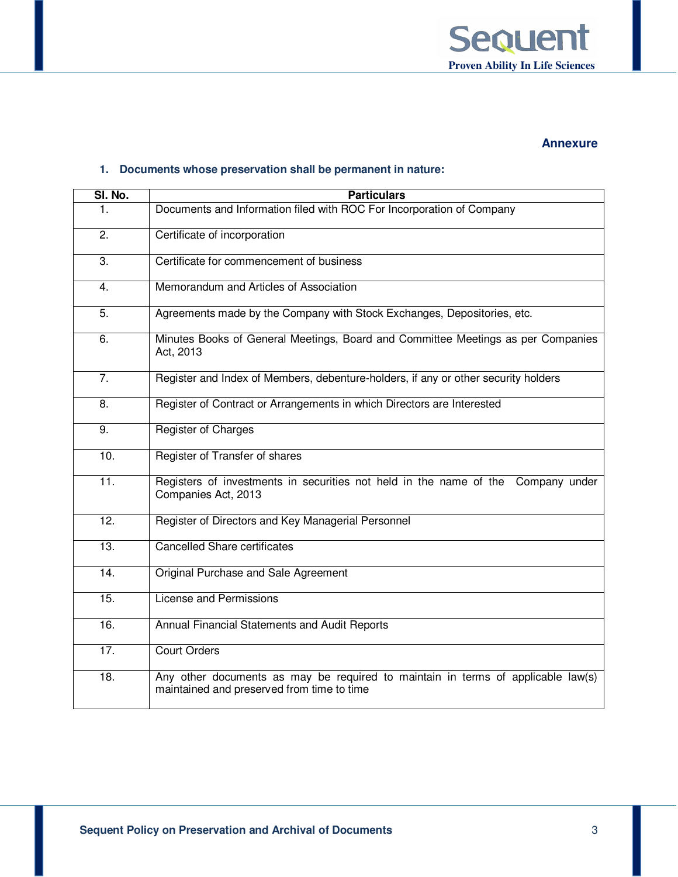

## **Annexure**

## **1. Documents whose preservation shall be permanent in nature:**

| SI. No.           | <b>Particulars</b>                                                                                                             |  |
|-------------------|--------------------------------------------------------------------------------------------------------------------------------|--|
| 1.                | Documents and Information filed with ROC For Incorporation of Company                                                          |  |
| 2.                | Certificate of incorporation                                                                                                   |  |
| $\overline{3}$ .  | Certificate for commencement of business                                                                                       |  |
| 4.                | Memorandum and Articles of Association                                                                                         |  |
| 5.                | Agreements made by the Company with Stock Exchanges, Depositories, etc.                                                        |  |
| 6.                | Minutes Books of General Meetings, Board and Committee Meetings as per Companies<br>Act, 2013                                  |  |
| $\overline{7}$ .  | Register and Index of Members, debenture-holders, if any or other security holders                                             |  |
| 8.                | Register of Contract or Arrangements in which Directors are Interested                                                         |  |
| 9.                | <b>Register of Charges</b>                                                                                                     |  |
| 10.               | Register of Transfer of shares                                                                                                 |  |
| 11.               | Registers of investments in securities not held in the name of the Company under<br>Companies Act, 2013                        |  |
| 12.               | Register of Directors and Key Managerial Personnel                                                                             |  |
| 13.               | <b>Cancelled Share certificates</b>                                                                                            |  |
| 14.               | Original Purchase and Sale Agreement                                                                                           |  |
| 15.               | License and Permissions                                                                                                        |  |
| $\overline{16}$ . | Annual Financial Statements and Audit Reports                                                                                  |  |
| $\overline{17}$ . | <b>Court Orders</b>                                                                                                            |  |
| 18.               | Any other documents as may be required to maintain in terms of applicable law(s)<br>maintained and preserved from time to time |  |